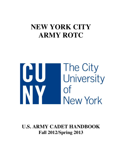# **NEW YORK CITY ARMY ROTC**



**U.S. ARMY CADET HANDBOOK Fall 2012/Spring 2013**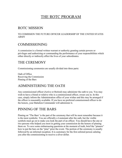## THE ROTC PROGRAM

### ROTC MISSION

### TO COMISSION THE FUTURE OFFICER LEADERSHIP OF THE UNITED STATES ARMY

## COMMISSIONING

A commission is a formal written warrant or authority granting certain powers or privileges and authorizing or commanding the performance of your responsibilities which either directly or indirectly affect the lives of your subordinates.

### THE CEREMONY

Commissioning ceremonies are usually divided into three parts:

Oath of Office Receiving the Commission Pinning of the Bars

### ADMINISTERING THE OATH

Any commissioned officer (Active or Retired) may administer the oath to you. You may wish to have a friend or relative who is a commissioned officer, swear you in. In this case, simply inform the Administration office of your wishes and this may be arranged if the officer is reasonably available. If you have no preferred commissioned officer to do the honors, your Battalion Commander will administer it.

### PINNING OF THE BARS

Pinning on "The Bars' is the part of the ceremony that will be most remember because it is the most symbolic. You are officially a Lieutenant after the oath, but the visible symbols must go on to make you look the part of an officer. You should have the one or two persons who helped you most in getting your commission do the honors of pinning them on. To save some embarrassing questions at the moment of truth, brief the "pinners" how to put the bars on the "pine" prior the event. The portion of the ceremony is usually followed by an informal reception. It is customary for the first enlisted person saluting you after the commissioning to receive a silver dollar.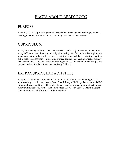## FACTS ABOUT ARMY ROTC

### PURPOSE

Army ROTC at UC provides practical leadership and management training to students desiring to earn an officer's commission along with their chose degrees.

### CURRICULUM

Basic, introductory military science courses (MSI and MSII) allow students to explore Army Officer opportunities without obligation during their freshman and/or sophomore years. A selection of labs offers hands- on training in survival, land navigation, and first aid to break the classroom routine. Six advanced courses ( one each quarter) in military management and tactics plus weekend training exercises and a summer leadership camp prepare students for their future roles as Army Officers.

### EXTRACURRICULAR ACTIVITIES

Army ROTC Students participate in a wide range of UC activities including ROTC sponsored organization such as the Color Guard, Ranger Challenge Team, Army ROTC intramural teams, and the RUCC Club. Students also are offered opportunities to attend Army training schools, such as Airborne School, Air Assault School, Sapper's Leader Course, Mountain Warfare, and Northern Warfare.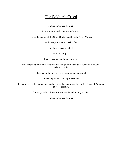## The Soldier's Creed

I am an American Soldier.

I am a warrior and a member of a team.

I serve the people of the United States, and live the Army Values.

I will always place the mission first.

I will never accept defeat.

I will never quit.

I will never leave a fallen comrade.

I am disciplined, physically and mentally tough, trained and proficient in my warrior tasks and drills.

I always maintain my arms, my equipment and myself.

I am an expert and I am a professional.

I stand ready to deploy, engage, and destroy, the enemies of the United States of America in close combat.

I am a guardian of freedom and the American way of life.

I am an American Soldier.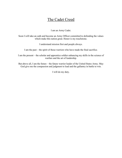## The Cadet Creed

I am an Army Cadet.

Soon I will take an oath and become an Army Officer committed to defending the values which make this nation great. Honor is my touchstone.

I understand mission first and people always.

I am the past – the spirit of those warriors who have made the final sacrifice.

I am the present – the scholar and apprentice soldier enhancing my skills in the science of warfare and the art of leadership.

But above all, I am the future – the future warrior leader of the United States Army. May God give me the compassion and judgment to lead and the gallantry in battle to win.

I will do my duty.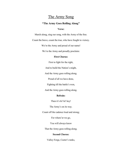### The Army Song

### **"The Army Goes Rolling Along"**

### **Verse:**

March along, sing our song, with the Army of the free.

Count the brave, count the true, who have fought to victory.

We're the Army and proud of our name!

We're the Army and proudly proclaim:

### **First Chorus:**

First to fight for the right,

And to build the Nation's might,

And the Army goes rolling along.

Proud of all we have done,

Fighting till the battle's won,

And the Army goes rolling along.

### **Refrain:**

Then it's hi! hi! hey!

The Army's on its way.

Count off the cadence loud and strong;

For where'er we go,

You will always know

That the Army goes rolling along.

### **Second Chorus:**

Valley Forge, Custer's ranks,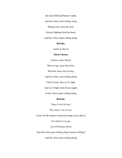San Juan Hill and Patton's tanks,

And the Army went rolling along.

Minute men, from the start,

Always fighting from the heart,

And the Army keeps rolling along.

### **Refrain:**

(same as above)

### **Third Chorus:**

(slower, more freely)

Men in rags, men who froze,

Still that Army met its foes,

And the Army went rolling along.

Faith in God, then we're right,

And we'll fight with all our might,

As the Army keeps rolling along.

### **Refrain:**

Then it's hi! hi! hey!

The Army's on its way.

Count off the cadence loud and strong; (two! three!)

For where'er we go,

You will always know

That the Army goes rolling along! (keep it rolling!)

And the Army goes rolling along!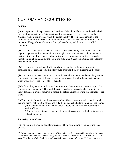## CUSTOMS AND COURTESIES

### **Saluting**

(1) An important military courtesy is the salute. Cadets in uniform render the salute both on and off campus in all official greetings, for ceremonial occasions and when the National Anthem is played or when the colors pass by. Those persons entitles to the salute while in uniform are the following: commissioned officers and warrant officers of the Army, Navy, Marine Corps, Air Force, Coast Guard, and the officers of allied countries.

(2) The salute must never be rendered in a casual or perfunctory manner, nor with pipe, cigar or cigarette held in the mouth or in the right hand. It is rendered only at the halt or during quick time. If a cadet is double timing and is approaching an officer, the cadet must begin quick time, render the salute and only after it has been returned the cadet may resume double time.

(3) The salute is returned by all officers whom are entitles to it unless they are in formation or are carrying something tat would preclude them from returning the salute

(4) The salute is rendered but once if t he senior remains in the immediate vicinity and no conversation takes place. If the conversation takes place, the subordinate again salutes when either they or the senior officer departs.

(5) In formation, individuals do not salute or return salute or return salutes except at the command Present, ARMS. During drill periods, cadets are considered in formation and individual cadets are not required to render the salute, unless reporting to a member of the cadre.

(6) When not in formation, at the approach of an officer, a group is called to attention by the first person noticing the officer and only the person called attention renders the salute.

(a) In general, one does not salute when indoors, except for when reporting to a senior officer.

(b) In any case not covered by specific instructions or when it doubt, it is better to salute than to not.

### **Reporting to an officer**

(1) The salute is a greeting and always rendered by a subordinate when reporting to an officer.

(2) When reporting indoors unarmed to an officer in their office, the cadet knocks three times and enters when told to do so. Upon entering, the cadet halts two paces from the officer, salutes and says, "Sir/Ma'am, Cadet (cadet's name) reports for (state nature of business)". The salute is held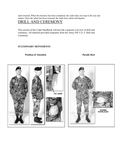until returned. When the business has been completed, the cadet takes one step to the rear and salutes. Once the salute has been returned, the cadet faces about and departs.

## DRILL AND CEREMONY

This section of the Cadet Handbook will provide a general overview of drill and ceremony. All material provided originates from the Army FM 3-21.5, Drill and Ceremony.

### **STATIONARY MOVEMENTS**

### **Position of Attention Parade Rest**

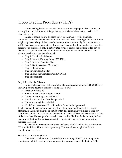## Troop Leading Procedures (TLPs)

 Troop leading is the process a leader goes through to prepare his or her unit to accomplish a tactical mission. It begins when he or she receives a new mission or a change in mission.

 A leader should follow the steps below to ensure successful planning, communication and eventual execution of the mission. Steps 3 through 8 may not follow a rigid sequence. Many of them may be accomplished concurrently. In combat, rarely will leaders have enough time to go through each step in detail, but leaders must use the procedure as outlined, if only in abbreviated form, to ensure that nothing is left out of planning and preparation, and that their soldiers fully understand the platoon's and squad's mission and prepare adequately.

- Step 1: Receive the Mission
- Step 2: Issue a Warning Order (WARNO)
- Step 3: Make a Tentative Plan
- Step 4: Start Necessary Movement
- Step 5: Reconnoiter
- Step 6: Complete the Plan
- Step 7: Issue the Complete Plan (OPORD)
- $\bullet$  Step 8: Supervise

### Step 1: Receive the Mission

 After the leader receives the new/altered mission (either as WARNO, OPORD or FRAGO), he/she begins to analyze it using METT-TC:

- Mission- what is it?
- Enemy- what is known about them/it?
- Troops- what troops are available?
- Terrain- how will it affect the operation?
- Time- how much is available?
- Civil Consideration- will civilians be a factor in the operation?

The leader should use no more than one third of the available time for his/her own planning, including issuing the operation order. The remaining two thirds is used for subordinates to plan and prepare for the operation. In the offense, the leader has one third of the time from his receipt of the mission to the unit's LD time. In the defense, he has one third of the time from mission receipt to the time the squad or platoon must be prepared to defend.

 In scheduling preparation activities, the leader should work backwards from the LD or defend time. This is reverse planning. He must allow enough time for the completion of each task.

### Step 2: Issue a Warning Order

 The leader provides initial instructions in a warning order. The warning order contains enough information to begin preparation as soon as possible. Platoon SOPs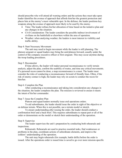should prescribe who will attend all warning orders and the actions they must take upon leader identifies the avenue of approach that affords him/her the greatest protection and places him at the enemy's most vulnerable spot. In the defense, the leader positions key weapons along the avenue of approach most likely to be used by the enemy.

- Time: The leader refines his/her allocation of time based on the tentative plan and any changes in the situation.
- Civil Consideration: The leader considers the possible indirect involvement of civilians on the battlefield or elsewhere within the area of operation.
- Weather: when analyzing weather, the leaders is most interest in visibility and traffic ability.

#### Step 4: Start Necessary Movement

 The unit may need to begin movement while the leader is still planning. The platoon sergeant or squad leaders may bring the unit/platoon forward, usually under the control of the company executive officer or first sergeant. This may occur anytime during the troop leading procedures.

#### Step 5: Reconnoiter

 If time allows, the leader will maker personal reconnaissance to verify terrain analysis, adjust the plan, confirm the usability of routes, and time any critical movements. If a personal recon cannot be done, a map reconnaissance is a must. The leader must consider the risks of conducting a reconnaissance forward of friendly lines. Often, if the risk of enemy contact is high, the leader may rely on scouts to conduct the recon for him/her.

#### Step 6: Complete the Plan

 After conducting a reconnaissance and taking into consideration any changes in the situation, the leader completes the plan. The mission is reviewed to ensure it meets the intent of his/her commander.

#### Step 7: Issue the Complete Plan

Platoon and squad leaders normally issue oral operations orders.

 To aid subordinates, the leader should issue the order in sight of the objective or on defense terrain. When this is not possible, use a terrain model or sketch.

 To ensure understanding after issuing the order, the leader should conduct a confirmation brief and a back brief. This requires subordinates to repeat part or all of the order or demonstrate on the model or sketch their understanding of the operation.

#### Step 8: Supervise

The leader supervises the unit's preparation by conducting both rehearsals and inspections.

 Rehearsals: Rehearsals are used to practice essential tasks, find weaknesses or problems in the plan, coordinate actions of subordinate elements, and improve the soldiers' understanding of the operation.

 The unit may begin rehearsals (for example, battle drills) before the order is issued. After the operations order is issued time is saved to go over more mission-specific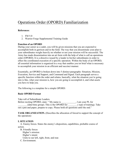## Operations Order (OPORD) Familiarization

### **References**:

- 1. FM 5-0
- 2. Warrior Forge Supplemental Training Guide

### **Function of an OPORD**

During your career as a cadet, you will be given missions that you are expected to accomplish both in garrison and in the field. The way that you disseminate your plan to your subordinates weighs heavily on whether or not your mission will be successful. The Army has made dissemination into an art form with the help of what is call an operations order (OPORD). It is a directive issued by a leader to his/her subordinates in order to effect the coordinated execution of a specific operation. Within the body of an OPORD, all essential information is organized in a way that enables you tot brief what is necessary to accomplish your mission in an efficient and succinct manner.

Essentially, an OPORD is broken down into 5 distinct paragraphs: Situation, Mission, Execution, Service and Support, and Command and Signal. Each paragraph serves a specific function within the order and relates, basically, what the situation you're going into is like, what your mission is, how you are going to accomplish it, and what assets you have to help you.

The following is a template for a simple OPORD:

### **Basic OPORD Format**

Take roll of Subordinate Leaders. Before reciting OPORD, state: " My name is \_\_\_\_\_\_\_\_\_\_, I am your PL for  $(data/time group)$ . This is the OPORD for  $($  type of training). Take out a pen and paper, prepare to copy. Please hold all questions until the end."

**TASK ORGANIZATION.** (Describes the allocation of forced to support the concept of the operation)

### **I. SITUATION**

 A. Enemy forces. States the enemy's disposition, capabilities, probable course of action.

 B. Friendly forces Higher's mission: Higher's intent: Units to our left, right, front, and rear. C. Environment.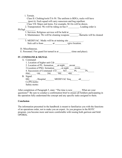| 1. Terrain.                                                                   |
|-------------------------------------------------------------------------------|
| Class II: Clothing/tools/TA-50. The uniform is BDUs, rucks will have          |
| (post it). Each squad will carry sunscreen and bug repellent.                 |
| Class VII: Major end items. For example, M-16s will be drawn.                 |
| 2. Transporation: We will be riding on bus $#$ [ Loading order is             |
| Plt/Sqd<br><b>Contractor</b>                                                  |
| 3. Services: Religious services will be held at _________.                    |
| 4. Maintenance: We will be cleaning weapons _______. Barracks will be cleaned |
| 5. MEDEVAC. Medic will be at training site ___________.                       |
|                                                                               |
|                                                                               |
| D. Miscellaneous.                                                             |
| E. Personnel. Fire guard list turned in at (time and place).                  |
|                                                                               |
| <b>IV. COMMAND &amp; SIGNAL</b>                                               |
| A. Command:                                                                   |
| 1. Location of higher unit Cdr                                                |
| 2. Location of PL: formation____,at night_____mvmt                            |
| 3. Location of PSG: formation_____, at night ____ mvmt___                     |
| 4. Succession of Command: CO_____ XO______ PL______ PL_____                   |
| PSG 1SL 2SL 3SL 4SL                                                           |
| B. Signal.                                                                    |
| HQ Hospital MEDEVAC freq alt                                                  |
| Co/Plt motto:                                                                 |

Safety motto:

After completion of Paragraph 5, state: "The time is now What are your questions?" Be sure to conduct a confirmation brief to ensure all Soldiers participating in the operation fully understand the concept and any specific tasks assigned to them.

### **Conclusion**

The information presented in the handbook is meant to familiarize you with the functions of an operations order, not to make you an expert. As you progress in the ROTC program, you become more and more comfortable with issuing both garrison and field OPORDs.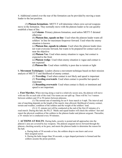4. Additional control over the rear of the formation can be provided by moving a team leader to the last position.

 (3) **Platoon formations**- METT-T will determine where crew-served weapons move in the formation. They normally move with the platoon leader so he can quickly establish a base of fire.

> (a) **Column**- Primary platoon formation, used unless METT-T dictated otherwise

(b) **Platoon line, squads on line**- Used when the platoon leader wants all soldiers' in line for maximum firepower forward. Used when the enemy situation is known.

(c) **Platoon line, squads in column**- Used when the platoon leader does not want everyone forward, but wants to be prepared for contact such as near the objective

(d) **Platoon Vee**- Used when enemy situation is vague, but contact is expected to the front

(e) **Platoon wedge**- Used when enemy situation is vague and contact is not expected

(f) **Platoon file**- Used when visibility is poor due to terrain or light

b. **Movement Techniques**- Leaders choose a movement technique based on their mission analysis of METT-T and likelihood of enemy contact.

(1) **Traveling**- Used when contact is not likely and speed is important

(2) **Traveling overwatch**- Used when contact is possible but speed is important

(3) **Bounding overwatch**- Used when contact is likely or imminent and speed is not important.

c. **Foot Marches.** When moving along a road in a relatively secure area, the platoon will move with one file on each side of the road. Fire teams are not split up. There will be 3 to 5 meters between soldiers and 25 to 50 meters between platoons.

 (1) The normal rate of matching for an 8- hour march is 4 mph. The interval and rate of marching depends on the length of the march, time allowed, likelihood of enemy contact, terrain and weather, condition of the soldiers and the weight of the soldiers' load.

 (2) A 15- minute rest will be conducted at the end of the first 45 minutes of a road march. During this halt, the PLLT Medic and squad leaders will check the soldiers' feet and report the physical condition of the soldiers to the platoon leader and platoon sergeant. Thereafter, a 10- minute ret is conducted every 50 minutes.

2. **ACTIONS AT HALTS**- During halts, security is posted and all approaches into the platoon's area are covered by key weapons. The platoon sergeant moves forward through the platoon, checking security as he goes, and meets the platoon leader to determine the reason for the halt.

a. During halts of 30 seconds or less, the soldiers drop to one knew and cover their assigned sector.

b. During the halts longer than 30 seconds, a cigar shaped perimeter is formed and the soldiers assume the prone position.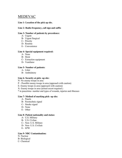### MEDEVAC

### **Line 1- Location of the pick up site.**

### **Line 2- Radio frequency, call sign and suffix**

### **Line 3- Number of patients by precedence:**

- A- Urgent
- B- Urgent Surgical
- C- Priority
- D- Routine
- E- Convenience

### **Line 4- Special equipment required:**

- A- None
- B- Hoist
- C- Extraction equipment
- D- Ventilator

### **Line 5- Number of patients:**

- A- Litter
- B- Ambulatory

### **Line 6- Security at pick- up site:**

- N- No enemy troops in area
- P Possible enemy troops in area (approach with caution)
- E- Enemy troops in area (approach with caution)
- X- Enemy troops in area (armed escort required )

\* in peacetime- number and types of wounds, injuries and illnesses

### **Line 7- Method of marking pick- up site:**

- A- Panels
- B- Pyrotechnic signal
- C- Smoke signal
- D- None
- E- Other

#### **Line 8- Patient nationality and status:**

- A- U.S. Military
- B- U.S. Civlian
- C- Non- U.S. Military
- D- Non- U.S. Civilian
- E- EPW

### **Line 9- NBC Contamination:**

- N- Nuclear B- Biological
- C- Chemical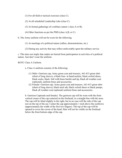(1) For all field or tactical exercises (class C).

(2) At all scheduled Leadership Labs (class C).

(3) At formal gatherings of a military nature ( class A or B).

(4) Other functions as per the PMS (class A,B, or C).

b. The Army uniform will not be worn for the following

(1) At meetings of a political nature (rallies, demonstrations, etc.)

(2) During any activity that may reflect unfavorably upon the military service

c. This does not imply that cadets are barred from participation in activities of a political nature. Just don't wear the uniform.

ROTC Class A Uniform

- a. Class A uniform consists of the following:
	- (1) Male- Garrison cap, Army green coat and trousers, AG-415 green shirt (short of long sleeve), a black four- in hand necktie, black oxford shoes, black socks, black belt with brass buckle and tip, black all weather coat (optional), uniform brass and accessories.
	- (2) Female- Garrison cap, Army green coat and trousers, AG-415 green shirt (short of long sleeve), black neck tab, black oxford shoes or black pumps, black all weather coat (optional) uniform brass and accessories.

b. Garrison Cap(male and female). The garrison cap will be worn with the from vertical crease of the cap centered on the forehead, in a straight line with the nose. The cap will be tilted slightly to the right, but in no case will the side of the cap rest on the top of the ear. Center the cap approximately 1 inch above the eyebrows (approximately the width of the first two fingers). The top of the cap will be opened to cover the crown of the head. Hair will not be visible on the forehead below the front bottom edge of the cap.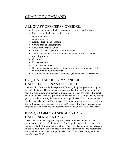## CHAIN OF COMMAND

### ALL STAFF OFFICERS CONSIDER:

- Mission and intent of higher headquarters one and two levels up.
- Specified, implied, and essential tasks.
- Area of operations.
- Area of interest.
- Enemy situation and capabilities.
- Critical facts and assumptions.
- Status of subordinate units.
- Weapon systems capabilities and limitations.
- Status of available assets within their functional area or battlefield operating system.
- Constraints.
- Risk considerations.
- Time considerations.
- Recommended commander's critical information requirements (CCIR) and information requirements (IR).
- Recommended intelligence, surveillance, and reconnaissance (ISR) tasks.

### (BC), BATTALION COMMANDER CADET LIEUTENANT COLONEL

The Battalion Commander is responsible for everything that goes on throughout the cadet battalion. The commander supervises the efficient functioning of the staff and subordinate commanders to ensure that missions assigned to the cadet battalion are performed in a professional manner. This is accomplished by issuing guidance and monitoring the execution of assigned tasks. The commander also conducts weekly cadet staff meetings to determine progress on projects, updates the staff with any new guidance, briefs the Professor of Military Science on the progress of cadet functions, and reports on the status of projects at least weekly.

## (CSM), COMMAND SERGEANT MAJOR CADET SERGEANT MAJOR

The Cadet Command Sergeant Major is the senior enlisted advisor to the commanding officer of the battalion. He/She helps form the unit, takes the report, and puts out all information at formations. The CSM also monitors and advocates all cadets holding the cadet enlisted rank in the cadet battalion, and coordinates the activities of the cadet color guard. The cadet CSM works closely with the cadre's senior NCO.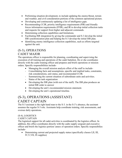- Performing situation development, to include updating the enemy/threat, terrain and weather, and civil consideration portions of the common operational picture.
- Developing and continuously updating a list of intelligence gaps.
- Recommending CCIR, priority intelligence requirements (PIR) and friendly forces information requirements (FFIR), and IR to develop initial collection tasks and requests for support from higher and adjacent commands.
- Determining collection capabilities and limitations.
- Facilitating ISR integration by giving the commander and S-3 develop the initial ISR synchronization plan and helping the S-3 develop the initial ISR plan.
- Identifying enemy intelligence collection capabilities, such as efforts targeted against the unit.

### (S-3), OPERATIONS CADET MAJOR

The operations officer is responsible for planning, coordinating and supervising the execution of all training and operations of the cadet battalion. He or she coordinates directly with the cadre training officer and prepares and briefs operations or mission orders. Specific responsibilities include-

- Managing the overall mission analysis effort of the staff to include-
- Consolidating facts and assumptions, specific and implied tasks, constraints, risk considerations, unit status, and recommended CCIR.
- Summarizing the current situation of subordinate units and activities.
- Status of the task organization
- Developing the ISR plan (with rest of the staff). The ISR plan produces an initial ISR order to answer
- Developing the unit's recommended mission statement.
- Developing the unit's operational timeline.

### (S-3), OPERATIONS (ASSISTANT) CADET CAPTAIN

The S-3 assistant is the right hand man to the S-3. in the S-3's absence, the assistant assumes the regular S-3 role. Assistants help coordinate training, risk assessments, and oversee daily operations.

### (S-4), LOGISTICS

### CADET CAPTAIN

The logistical support for all cadet activities is coordinated by the logistics officer. In addition, this office coordinates directly with the cadre supply sergeant and executive officer and briefs the logistics portion/ annex of operation orders. Specific responsibilies include-

 Determining current and projected supply status (specifically classes I,II, III, IV,V,VII, IX supplies)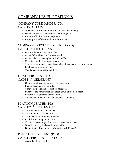## COMPANY LEVEL POSITIONS

### COMPANY COMMANDER (CO) CADET CAPTAIN

- Organize, control, and order movement of the company.
- Develop a plan of operation for the training day.
- Promote effective time management.
- Properly and efficiently utilize subordinates.

### COMPANY EXECUTIVE OFFICER (XO) CADET 1ST LIEUTENANT

- Perform duties as assistant to CO.
- Act as CO in absence of the commander
- Act as liaison between platoon leaders/CO.
- Coordinate and follow up as /co directs.
- Supervise equipment distribution and establish load plans for movement.
- Establish night training site.
- Maintain accurate accountability.

### FIRST SERGEANT (1SG)

CADET 1<sup>ST</sup> SERGEANT

- Organize and lead the company for formation.
- Prepare accountability reports.
- Control sick calls and account for absences.
- Supervise the construction and break down of the field mess.
- Perform other duties as directed by CO.
- Control and or conduct all movements of Company.

### PLATOON LEADER (PL) CADET 2<sup>ND</sup> LIEUTENANT

- Coordinate with the CO and XO.
- Control platoon organization.
- Complete all required platoon tasks.
- Establish platoon plan of action.
- Conduct platoon inspections and rehearsals as necessary.
- Organize for physical conditioning drills.
- Disseminate all operational information to PSG and SL.

### PLATOON SERGEANT (PSG) CADET SERGEANT FIRST CLASS

Assist the platoon leader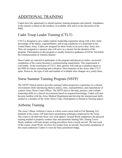## ADDITIONAL TRAINING

Cadets have the opportunity to attend summer training programs and schools. Attendance at the schools is based on the numbers of available slots and is at the discretion of the PMS.

## Cadet Troop Leader Training (CTLT)

CTLT is designed to give cadets realistic leadership experience along with a first- hand knowledge of the duties, responsibilities, and living conditions of a lieutenant in the United States Army. Cadets are assigned for three weeks to an active duty Army unit. They are assigned to a sponsor who will serve as a mentor for the duration of the program. Participation in this program is usually limited to graduates of LDAC but before the commencement of Autumn Quarter.

Once Cadets are selected to participate in the program and placed on orders, successful completion of the course becomes a commissioning requirement. This requirement is waiverable. At the conclusion of CTLT, their sponsor will send an evaluation report to the PMS for future counseling and evaluation. Most branches of the Army offer CTLT spots. However, the type of unit and number of available slots changes on a yearly basis.

## Nurse Summer Training Program (NSTP)

The NSTP Clinical elective provides nursing Cadets progressive experience in a clinical environment while introducing them to duties, roles, responsibilities, and expectations of a junior Army Nurse Corps Officer. The NSTP aims to develop, practice, and evaluate leadership skills in a clinical environment based on acquired knowledge. Cadets will also become familiar with the Army Medical Department and develop the interpersonal skills needed as a member of the Army Nurse Corps. Participation is limited to Nursing majors.

## Airborne Training

The Army's Basic Airborne Course is a three week course held at Fort Benning, GA. Students at the course will learn basic parachuting techniques employed by the Army. The course is divided into three- one week phases. Ground Week emphasizes the physical training needed to properly conduct slips and parachute landing falls. During Tower Week, students will learn proper exiting procedures from a mock aircraft. The last week of the course, Jump Week, involves five jumps from an aircraft. Successful completion of the course authorizes Cadets to wear the basic parachutist badge.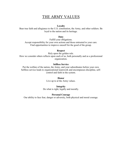## THE ARMY VALUES

#### **Loyalty**

Bear true faith and allegiance to the U.S. constitution, the Army, and other soldiers. Be loyal to the nation and its heritage.

#### **Duty**

Fulfill your obligations. Accept responsibility for your own actions and those entrusted to your care. Find opportunities to improve oneself for the good of the group.

#### **Respect**

Rely upon the golden rule. How we consider others reflects upon each of us, both personally and as a professional organization.

### **Selfless Service**

Put the welfare of the nation, the Army, and your subordinates before your own. Selfless service leads to organizational teamwork and encompasses discipline, selfcontrol and faith in the system.

### **Honor**  Live up to al the Army values.

#### **Integrity**

Do what is right, legally and morally.

### **Personal Courage**

Our ability to face fear, danger or adversity, both physical and moral courage.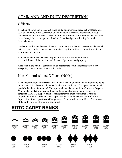## COMMAND AND DUTY DESCRIPTION

## **Officers**

The chain of command is the most fundamental and important organizational technique used by the Army. It is a succession of commanders, superior to subordinate, through which command is exercised. It extends from the President, as the /commander- in Chief, down through the various grades of rank to the enlisted persons leading the smallest Army elements.

No distinction is made between the terms commander and leader. The command channel extends upward in the same manner for matters requiring official communication from subordinate to superior.

Every commander has two basic responsibilities in the following priority; Accomplishment of the mission, and the care of personnel and property.

A superior in the chain of command holds subordinate commanders responsible for everything their command does or fails to do.

## Non- Commissioned Officers (NCOs)

The noncommissioned officer is a vital link in the chain of command. In addition to being in a formal chain of command, the NCOs also function in a NCO support channel which parallels the chain of command. The support channel begins with the Command Sergeant Major and extends through subordinate unit command sergeant majors to unit first sergeants. The NCO support channel supplements the chain of command. Matters properly within the purview of this support channel include: Development of NCOs, Supervision of unit operations within guidance, Care of individual soldiers, Proper wear of the uniform, Care of arms and equipment.

# ROTC CADET RANKS

















CADET

CSM

CADET **PVT** 

CADET PFC

CADET CPL

CADET SSG

CADET **SFC** 

CADET **MSG** 

CADET  $1S<sub>G</sub>$ 





CADET

**SGT** 





CADET

LTC



CADET

MAJ



COL

CADET 2LT

CADET 1LT

CADET CPT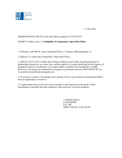

17 July 2012

### MEMORANDUM FOR All Cadre and Cadets assigned to CUNY ROTC

### SUBJECT: Policy Letter 1**- Availability of Commander, Open Door Policy**

1. Reference: AR 600-20, Army Command Policy, 11 February 2009 paragraph 2-2.

2. Purpose: To outline the Commander's Open Door Policy.

3. Officers, NCO's, DA Civilians and Contract employees and Cadets may bring personal or professional concerns to me at any time, and the urgency of concern should govern the urgency of getting the matter to my attention. For routine matters, schedule time through Ms. Conliffe. However, I can always be contacted for emergency or personal concerns at 860-208-0912(C) or via email at nycenroll.stjrotc@gmail.com

4. If you have a concern, I encourage you to present it first to your chain of command and afford them an opportunity to resolve it.

5. I expect supervisors at all levels to be as receptive and responsive to the needs of their subordinates as possible and fully employed, when practical, to resolve problems.

> // Original Signed // JUAN HOWIE LTC, MP DIRECTOR OF CUNY ROTC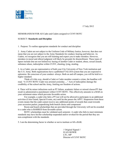

17 July 2012

### MEMORANDUM FOR All Cadre and Cadets assigned to CUNY ROTC

#### SUBJECT: **Standards and Discipline**

1. Purpose: To outline appropriate standards for conduct and discipline

2. Army Cadets are not subject to the Uniform Code of Military Justice, however, that does not mean that you are not subject to the Army Standards for conduct, bearing and behavior. As Cadets, we recognize that you are still learning and expect you to make mistakes. However, mistakes in moral and ethical judgment will likely be grounds for disenrollment. These types of lapses include (but are not limited to): hazing of another Cadet or student, abuse, sexual assault, substance abuse, indiscipline within CUNY, cheating, lying, stealing.

3. As a Cadet, you are representative of both your City University of New York institution and the U.S. Army. Both organizations have a published VALUES system that you are expected to epitomize. Be conscious of your conduct- always. Both on and off campus, you will be held to a higher standard.

 Think of it this way, should a Cadet or Cadre member commit a crime, the headline will read, "A CUNY ROTC Cadet was arrested yesterday…." Acts of indiscipline damage the credibility of the school and the Army, limiting our freedom of actions.

4. There will be minor infractions such as PT failure, academic failure or missed classes/PT that result in administrative punishment within CUNY ROTC. This effectively amounts to a BAR on your enlistment status which prevents favorable action.

 For example, a cadet who fails a PT test will not be allowed to participate in an additional activities (Color Guard, Special Events, etc) until he/she passes the APFT. Suspension from these events means that the cadet cannot receive any additional points of awards that count towards your accession packet; jeopardizing both branch choice and component/

 Room and board scholarships that are provided through the University will not be awarded to a cadet who is BARRED from favorable action.

 ROTC scholarships must be validated each semester. A cadet who fails to meet minimum standards may have his/her scholarship suspended and/or revoked for the period that they are non-compliment with the standards.

5. I am the determining factor in whether or not to institute or lift a BAR.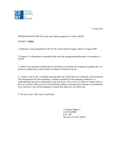

### MEMORANDUM FOR All Cadre and Cadets assigned to St John's ROTC

### SUBJECT: **Safety**

1. Reference: Army Regulations 385-10, the Army Safety Program, dated 23 August 2007.

2. Purpose: To disseminate command safety and risk management philosophy for members of CUNY.

3. Safety is an important consideration in all aspects of training. By keeping our people safe, we preserve combat power and increase our chance of mission success.

4. Leaders at all levels- to include and especially the Cadet Chain of Command- will incorporate risk management into their planning. Constant evaluation of the changing conditions is a leadership task that drives adjustment to the risk levels. This is how it is done in combat and it is how we will train. Risk can never be eliminated without watering down training to an unrealistic level. However, risk will be managed to ensure that objectives are safely met.

5. We are a team. Take care of each other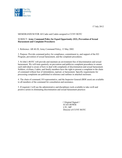

17 July 2012

### MEMORANDUM FOR All Cadre and Cadets assigned to CUNY ROTC

### SUBJECT: **Army Command Policy for Equal Opportunity (EO), Prevention of Sexual Harassment and Complaint Procedures**

1. Reference: AR 60-20, Army Command Policy, 13 May 2002.

2. Purpose: Provide command policy for compliance, commitment to, and support of the EO Program, prevention of sexual harassment, and the complaint procedures.

3. St John's ROTC will provide and maintain an environment free of discrimination and sexual harassment. We will train quarterly on prevention and publicize complaint procedures to ensure each individual is aware of how to deal with complaints of discrimination and sexual harassment. Soldiers, civilians, Cadets, and family members have the right to present a complaint to the chain of command without fear of intimidation, reprisal, or harassment. Specific requirements for processing complaints are published in reference and outlines in attached enclosure.

4. The chain of command, EO representative, and the Inspector General (BDE asset) are available to all members of the command for consultation and assistance.

5. If required, I will use the administrative and disciplinary tools available to take swift and positive action in eliminating discrimination and sexual harassment practices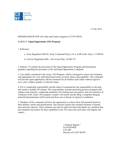

### MEMORANDUM FOR All Cadre and Cadets assigned to CUNY ROTC

### SUBJECT: **Equal Opportunity (EO) Program**

1. Reference:

a. Army Regulation 600-20, Army Command Policy, Ch. 6, EOP in the Army, 11 FEB 09.

b. USAAC Regulation 600-1, EO Action Plan, 19 DEC 07.

2. Purpose: To explain the provisions of the Equal Opportunity Program and disseminate guidance regarding the procedure to file and Equal Opportunity Complaint.

3. I am totally committed to the Army's EO Program, which is designed to ensure fair treatment and opportunity for every individual based solely on merit, fitness and capability. This command will provide equal opportunity and fair treatment for all Soldiers and Cadets without regard to race, color, religion, gender, or national origin.

4. EO is a leadership responsibility and the chain of command has the responsibility to develop and sustain a healthy EO climate. This responsibility includes promoting positive programs that enhance unit cohesion, conducting mandatory EO training once per quarter, and zero tolerance of violations of the Army's EO program. Leaders will ensure anyone filing a complaint alleging unlawful discrimination will be protected from acts or threats of reprisal or retaliation.

5. Members of this command will have the opportunity to achieve their full potential based on their abilities, merits and qualifications. Our mission requires the essential elements of mutual trust and unit cohesion. These elements can only be achieved when individuals are confident that fair treatment and respect for their capabilities exist. We must treat each other with dignity and respect.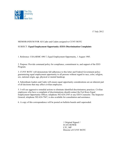

17 July 2012

### MEMORANDUM FOR All Cadre and Cadets assigned to CUNY ROTC

### SUBJECT: **Equal Employment Opportunity (EEO) Discrimination Complaints**

1. Reference: USAARMC 690-7, Equal Employment Opportunity, 1 August 1985.

2. Purpose: Provide command policy for compliance, commitment to, and support of the EEO Program.

3. CUNY ROTC will demonstrate full adherence to this letter and Federal Government policy guaranteeing equal employment opportunity to all persons without regard to race, color, religion, sex, national origin, age, physical or mental handicap.

4. Subordinate leaders and Cadre will ensure equal opportunity considerations are an inherent part of all decisions that may affect civilian employees.

5. I will use aggressive remedial actions to eliminate identified discriminatory practices. Civilian employees who have a complaint of discriminations should contact the Fort Knox Equal Employment Opportunity Officer, telephone 502-624-2545 or any EEO Counselor. The Inspector General, telephone 502-624-7947, is also available for consultation and assistance.

6. A copy of this correspondence will be posted on bulletin boards until superseded.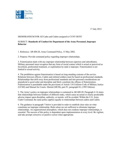

### MEMORANDUM FOR All Cadre and Cadets assigned to CUNY ROTC

### SUBJECT: **Standards of Conduct for Department of the Army Personnel, Improper Behavior**

1. Reference: AR 600-20, Army Command Policy, 13 May 2002.

2. Purpose: Provide command policy regarding improper relationships.

3. Fraternization deals with any improper relationship between superiors and subordinates. Military personnel must recognize that any form of social contact which is actual or perceived as favoritism, preferential treatment, or exploitation by rank is improper. Fraternization is not limited to sexual activity.

4. The prohibition against fraternization is based on long-standing customs of the service. Relations between officers, Cadets and enlisted soldiers must be based on professional standards. Relationships that drift away from professional standards and into personal considerations are prejudicial to good order and discipline and likely constitute the offense of fraternization. Fraternization is punishable under the provisions of Article 134 Uniform Code of Military Justice (UCMJ) and Manual for Courts- Martial (MCM), part IV, paragraph 83, (1995 Edition).

5. The Army's policy on improper relationships is contained in AR 600-20. Paragraph 4-14 states that relationships between Soldiers of different ranks, which cause an actual or clearly predictable adverse impact upon discipline, authority, or morale, will be avoided. Within the U.S. Army Cadet Command, the same policy applies equally to relationships between cadres and Cadets.

6. The guidance in paragraph 7 below is provided in order to establish clear rules on what constitutes an improper relationship. Rules alone are not sufficient to eliminate improper relationships. An organizational atmosphere, which does not condone improper relationships, is essential. The success of this policy is dependent upon implementation at every level. Be vigilant, and take prompt corrective or punitive action when appropriate.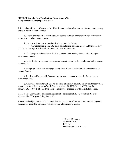#### SUBJECT: **Standards of Conduct for Department of the Army Personnel, Improper Behavior**

7. It is unlawful for an officer or enlisted Soldier assigned/attached to or performing duties in any capacity within the battalion to:

 a. Attend private parties with Cadets, unless the battalion or higher echelon commander authorizes attendances at the party.

b. Date or solicit dates from subordinates, to include Cadets.

 (1) Any student attending SJU or its affiliates is a potential Cadet and therefore may NOT enter into a personal relationship with a SJU Cadre member.

 c. Visit the personal residence of Cadets, unless authorized by the battalion or higher echelon commander.

 d. Invite Cadets to personal residence, unless authorized by the battalion or higher echelon commander.

 e. Inappropriately touch or engage in any form of sexual activity with subordinates, to include Cadets.

 f. Employ, paid or unpaid, Cadets to perform any personal service for themselves or family members.

 g. Otherwise associate with Cadets, on terms of military equality, in circumstances which would constitute "fraternization" as defined in Article 134 (UCMJ), and MCM, part IV, paragraph 83, (1995 Edition), if the same conduct were engaged in with an enlisted person.

8. The Cadet Command policy regarding alcoholic beverages at ROTC social functions is addressed in 2nd Brigade Policy Letter 15.

9. Personnel subject to the UCMJ who violate the provisions of this memorandum are subject to punishment under the UCMJ, as well as adverse administrative action.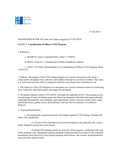

17 July 2012

### MEMORANDUM FOR All Cadre and Cadets assigned to CUNY ROTC

### SUBJECT: **Consideration of Others (CO2) Program**

1. Reference:

a. AR 600-20, Army Command Policy, dated 11 FEB 09.

b. HQDA, Army G-1, Consideration of Others Handbook, undated.

 c. USACC CG Policy Memorandum #15, Consideration of Others (CO2) Program, dated 10 AUG 07.

2. Purpose: The purpose of the CO2 training program is to nurture and preserve the Army's values and to strengthen trust, cohesion, and readiness through an awareness of others. The Army is a Team and conscious effort is required to build an environment that is beneficial to all.

3. The objective of the CO2 Program is to strengthen our overall command climate by reinforcing trust, teamwork, individual dignity and respect for all people.

4. All human relations within CUNY ROTC fall under the umbrella of CO2. This training covers a broad range of topics including moral and ethical development (individual and organizational), leadership development, team building, equal opportunity, family concerns, health, safety, drug and alcohol abuse, gender issues, discrimination, and any form of insensitive or offensive behavior.

5. Training Requirements:

 a. All permanently assigned personnel will conduct quarterly CO2 training. Training will follow these guidelines:

 (1) Classes will be facilitated by personnel assigned to the particular unit, using a small, interactive group discussion format

 (2) Initial CO2 training will be an overview of the program- conducted at the start of the academic year. Subsequent training should be conducted based on results of the continued assessments from interviews, focus group meetings, observations, unit records, award/promotion rates and other statistical data.